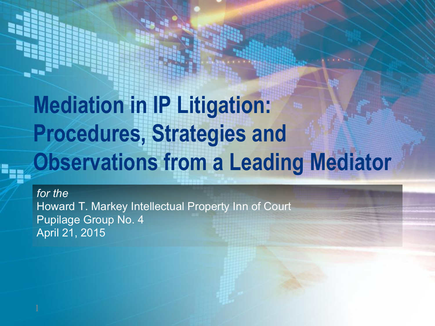### **Mediation in IP Litigation: Procedures, Strategies and Observations from a Leading Mediator**

*for the* Howard T. Markey Intellectual Property Inn of Court Pupilage Group No. 4 April 21, 2015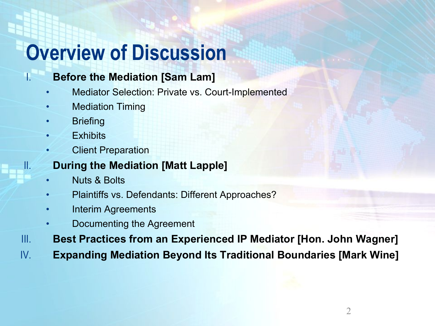### **Overview of Discussion**

#### I. **Before the Mediation [Sam Lam]**

- Mediator Selection: Private vs. Court-Implemented
- **Mediation Timing**
- **Briefing**
- **Exhibits**
- Client Preparation
- **During the Mediation [Matt Lapple]**
- Nuts & Bolts
- Plaintiffs vs. Defendants: Different Approaches?
- Interim Agreements
- Documenting the Agreement
- III. **Best Practices from an Experienced IP Mediator [Hon. John Wagner]**
- IV. **Expanding Mediation Beyond Its Traditional Boundaries [Mark Wine]**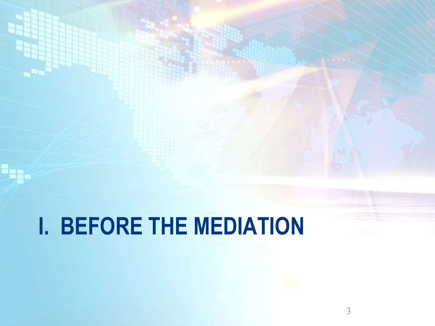### **I. BEFORE THE MEDIATION**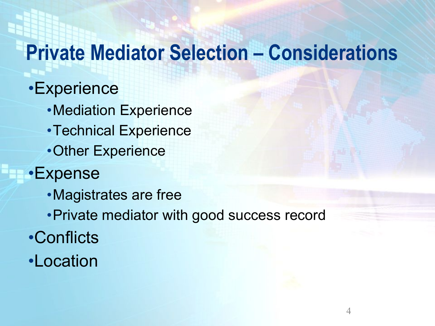#### **Private Mediator Selection – Considerations**

- •Experience
	- •Mediation Experience
	- •Technical Experience
	- •Other Experience
- •Expense
	- •Magistrates are free
	- •Private mediator with good success record
- •Conflicts
- •Location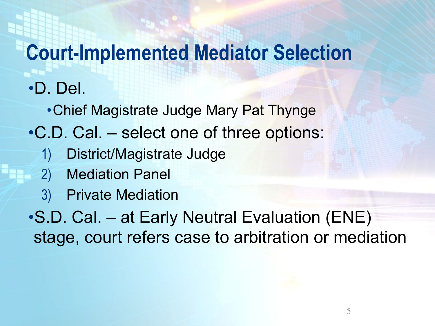#### **Court-Implemented Mediator Selection**

•D. Del.

- •Chief Magistrate Judge Mary Pat Thynge
- •C.D. Cal. select one of three options:
	- 1) District/Magistrate Judge
	- 2) Mediation Panel
	- 3) Private Mediation
- •S.D. Cal. at Early Neutral Evaluation (ENE) stage, court refers case to arbitration or mediation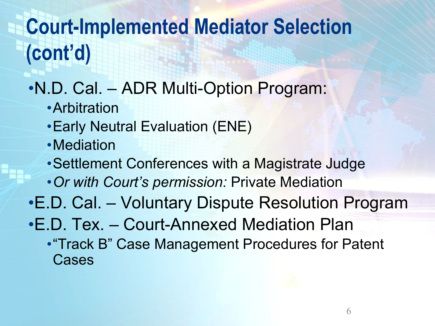### **Court-Implemented Mediator Selection (cont'd)**

- •N.D. Cal. ADR Multi-Option Program:
	- •Arbitration
	- •Early Neutral Evaluation (ENE)
	- •Mediation
	- •Settlement Conferences with a Magistrate Judge
	- •*Or with Court's permission:* Private Mediation
- •E.D. Cal. Voluntary Dispute Resolution Program
- •E.D. Tex. Court-Annexed Mediation Plan
	- •"Track B" Case Management Procedures for Patent Cases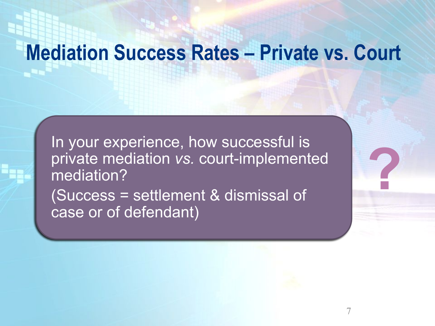#### **Mediation Success Rates – Private vs. Court**

In your experience, how successful is private mediation *vs.* court-implemented mediation?

7

**?**

(Success = settlement & dismissal of case or of defendant)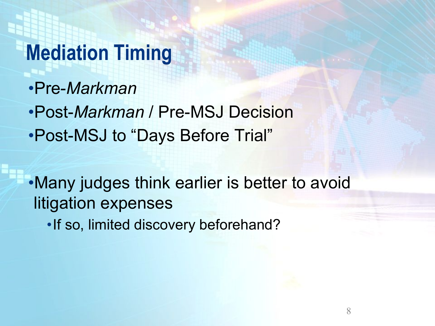### **Mediation Timing**

- •Pre-*Markman*
- •Post-*Markman* / Pre-MSJ Decision •Post-MSJ to "Days Before Trial"

•Many judges think earlier is better to avoid litigation expenses •If so, limited discovery beforehand?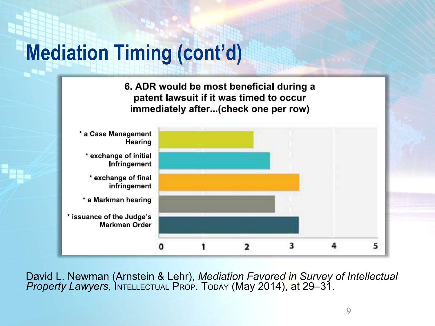### **Mediation Timing (cont'd)**

6. ADR would be most beneficial during a patent lawsuit if it was timed to occur immediately after...(check one per row)



David L. Newman (Arnstein & Lehr), *Mediation Favored in Survey of Intellectual Property Lawyers*, INTELLECTUAL PROP. TODAY (May 2014), at 29–31.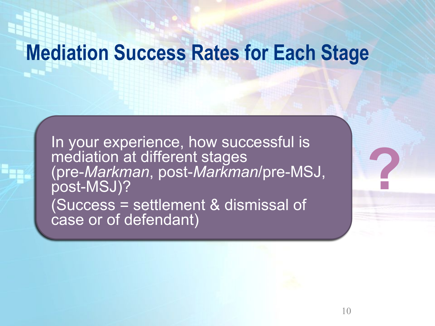#### **Mediation Success Rates for Each Stage**

In your experience, how successful is mediation at different stages (pre-*Markman*, post-*Markman*/pre-MSJ, post-MSJ)? (Success = settlement & dismissal of case or of defendant)

**?**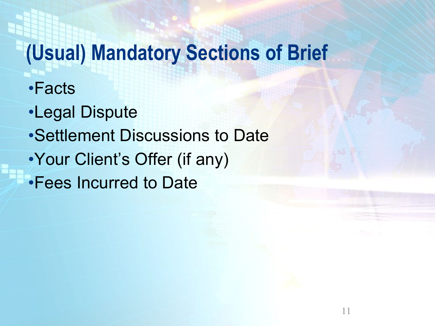### **(Usual) Mandatory Sections of Brief**

11

- •Facts
- •Legal Dispute
- •Settlement Discussions to Date
- •Your Client's Offer (if any)
- •Fees Incurred to Date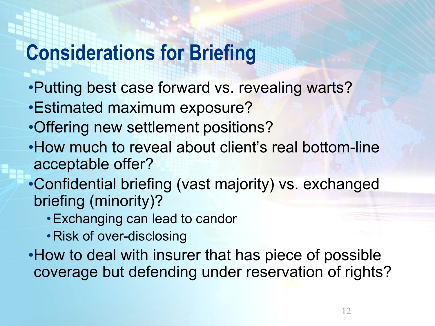### **Considerations for Briefing**

- •Putting best case forward vs. revealing warts?
- •Estimated maximum exposure?
- •Offering new settlement positions?
- •How much to reveal about client's real bottom-line acceptable offer?
- •Confidential briefing (vast majority) vs. exchanged briefing (minority)?
	- •Exchanging can lead to candor
	- •Risk of over-disclosing
- •How to deal with insurer that has piece of possible coverage but defending under reservation of rights?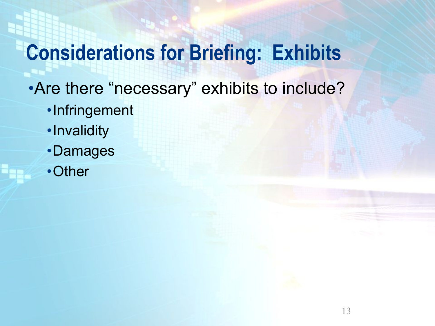#### **Considerations for Briefing: Exhibits**

- •Are there "necessary" exhibits to include?
	- •Infringement
	- •Invalidity
	- •Damages
	- •Other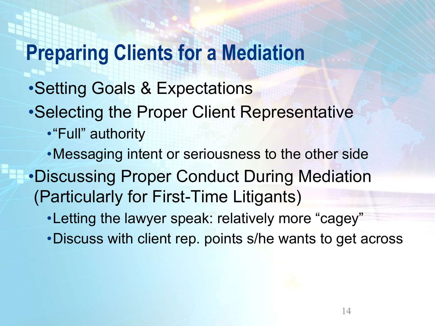#### **Preparing Clients for a Mediation**

- •Setting Goals & Expectations
- •Selecting the Proper Client Representative
	- •"Full" authority
	- •Messaging intent or seriousness to the other side
- •Discussing Proper Conduct During Mediation (Particularly for First-Time Litigants)
	- •Letting the lawyer speak: relatively more "cagey"
	- •Discuss with client rep. points s/he wants to get across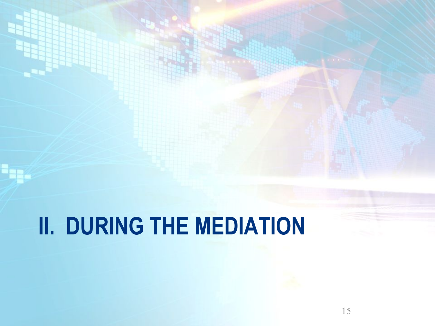# **II. DURING THE MEDIATION**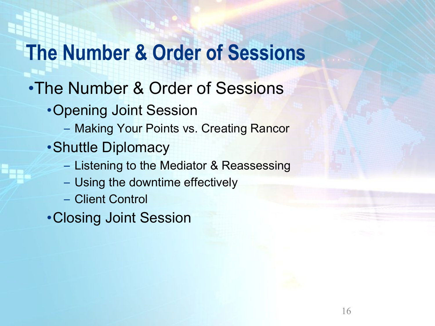#### **The Number & Order of Sessions**

- •The Number & Order of Sessions
	- •Opening Joint Session
		- Making Your Points vs. Creating Rancor
	- •Shuttle Diplomacy
		- Listening to the Mediator & Reassessing
		- Using the downtime effectively
		- Client Control
	- •Closing Joint Session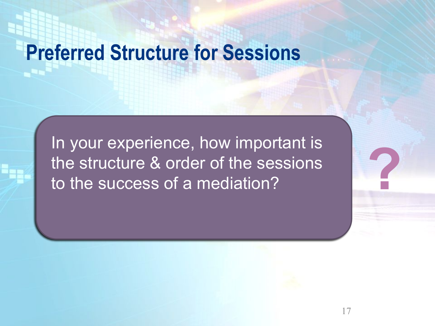#### **Preferred Structure for Sessions**

In your experience, how important is the structure & order of the sessions to the success of a mediation?

**?**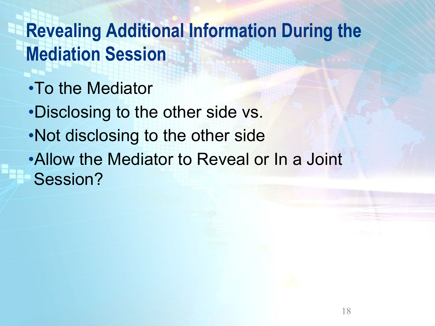#### **Revealing Additional Information During the Mediation Session**

- •To the Mediator
- •Disclosing to the other side vs.
- •Not disclosing to the other side
- •Allow the Mediator to Reveal or In a Joint Session?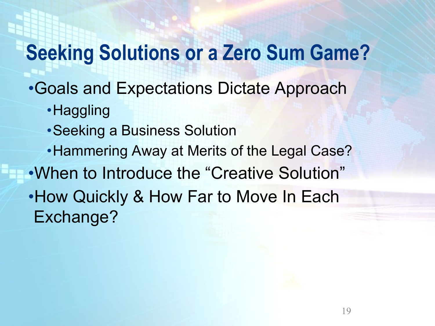#### **Seeking Solutions or a Zero Sum Game?**

- •Goals and Expectations Dictate Approach
	- •Haggling
	- •Seeking a Business Solution
	- Hammering Away at Merits of the Legal Case?
- •When to Introduce the "Creative Solution"
- •How Quickly & How Far to Move In Each Exchange?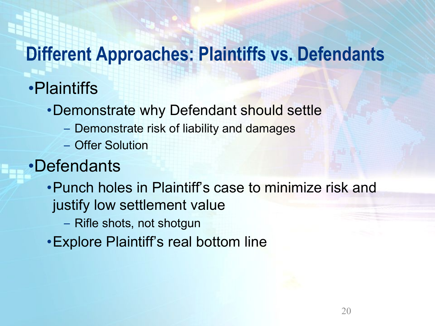#### **Different Approaches: Plaintiffs vs. Defendants**

#### •Plaintiffs

- •Demonstrate why Defendant should settle
	- Demonstrate risk of liability and damages
	- Offer Solution

#### •Defendants

- •Punch holes in Plaintiff's case to minimize risk and justify low settlement value
	- Rifle shots, not shotgun
- •Explore Plaintiff's real bottom line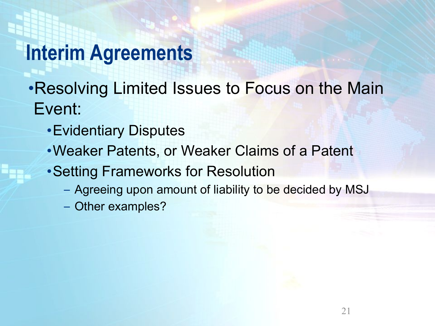#### **Interim Agreements**

- •Resolving Limited Issues to Focus on the Main Event:
	- •Evidentiary Disputes
	- •Weaker Patents, or Weaker Claims of a Patent
	- •Setting Frameworks for Resolution
		- Agreeing upon amount of liability to be decided by MSJ
		- Other examples?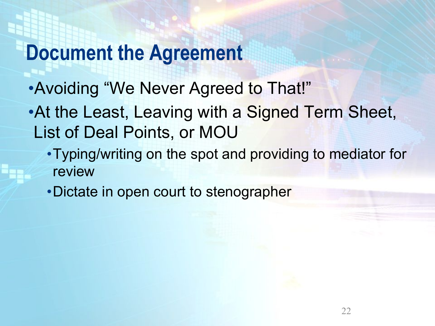#### **Document the Agreement**

- •Avoiding "We Never Agreed to That!"
- •At the Least, Leaving with a Signed Term Sheet, List of Deal Points, or MOU
	- •Typing/writing on the spot and providing to mediator for review
	- •Dictate in open court to stenographer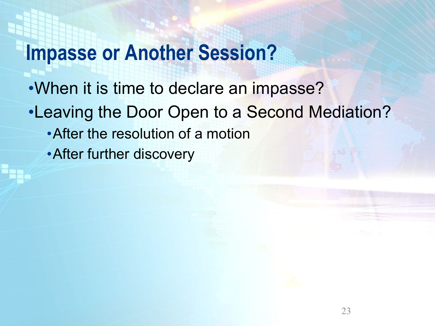#### **Impasse or Another Session?**

- •When it is time to declare an impasse?
- •Leaving the Door Open to a Second Mediation?
	- •After the resolution of a motion
	- •After further discovery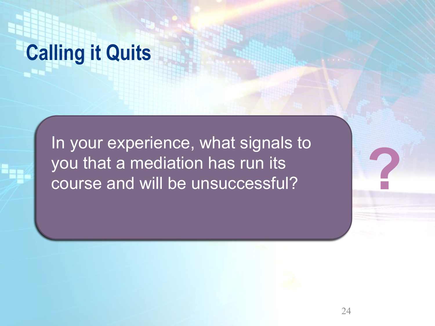## **Calling it Quits**

In your experience, what signals to you that a mediation has run its course and will be unsuccessful?

**?**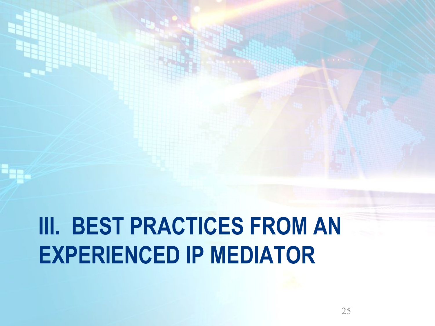# **III. BEST PRACTICES FROM AN EXPERIENCED IP MEDIATOR**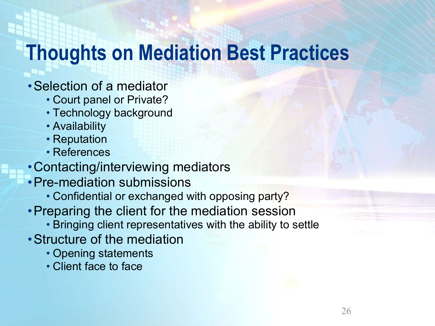### **Thoughts on Mediation Best Practices**

- •Selection of a mediator
	- Court panel or Private?
	- Technology background
	- Availability
	- Reputation
	- References
- •Contacting/interviewing mediators
- •Pre-mediation submissions
	- Confidential or exchanged with opposing party?
- •Preparing the client for the mediation session
	- Bringing client representatives with the ability to settle
- •Structure of the mediation
	- Opening statements
	- Client face to face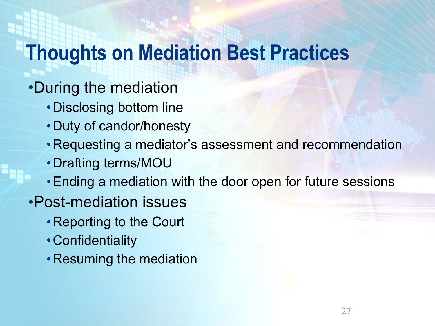#### **Thoughts on Mediation Best Practices**

- •During the mediation
	- •Disclosing bottom line
	- •Duty of candor/honesty
	- •Requesting a mediator's assessment and recommendation
	- •Drafting terms/MOU
	- •Ending a mediation with the door open for future sessions
- •Post-mediation issues
	- •Reporting to the Court
	- •Confidentiality
	- •Resuming the mediation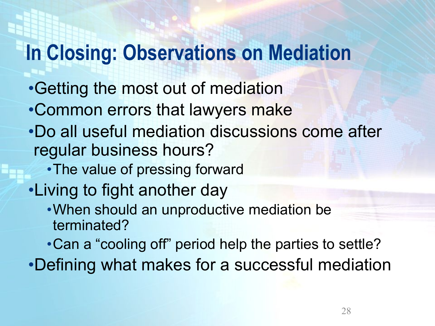#### **In Closing: Observations on Mediation**

- •Getting the most out of mediation
- •Common errors that lawyers make
- •Do all useful mediation discussions come after regular business hours?
	- •The value of pressing forward
- •Living to fight another day
	- •When should an unproductive mediation be terminated?

•Can a "cooling off" period help the parties to settle?

•Defining what makes for a successful mediation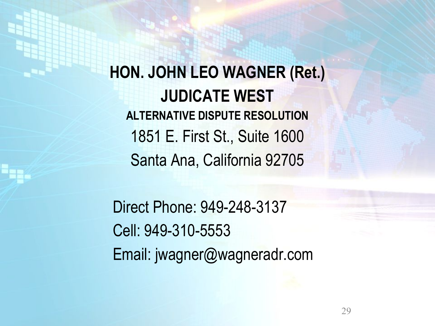**HON. JOHN LEO WAGNER (Ret.) JUDICATE WEST ALTERNATIVE DISPUTE RESOLUTION** 1851 E. First St., Suite 1600 Santa Ana, California 92705

Direct Phone: 949-248-3137 Cell: 949-310-5553 Email: jwagner@wagneradr.com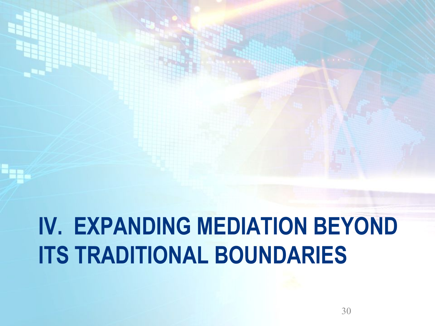# **IV. EXPANDING MEDIATION BEYOND ITS TRADITIONAL BOUNDARIES**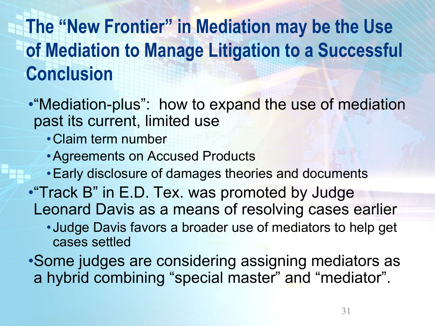#### **The "New Frontier" in Mediation may be the Use of Mediation to Manage Litigation to a Successful Conclusion**

- •"Mediation-plus": how to expand the use of mediation past its current, limited use
	- •Claim term number
	- •Agreements on Accused Products
	- •Early disclosure of damages theories and documents
- "Track B" in E.D. Tex. was promoted by Judge Leonard Davis as a means of resolving cases earlier
	- Judge Davis favors a broader use of mediators to help get cases settled
- •Some judges are considering assigning mediators as a hybrid combining "special master" and "mediator".